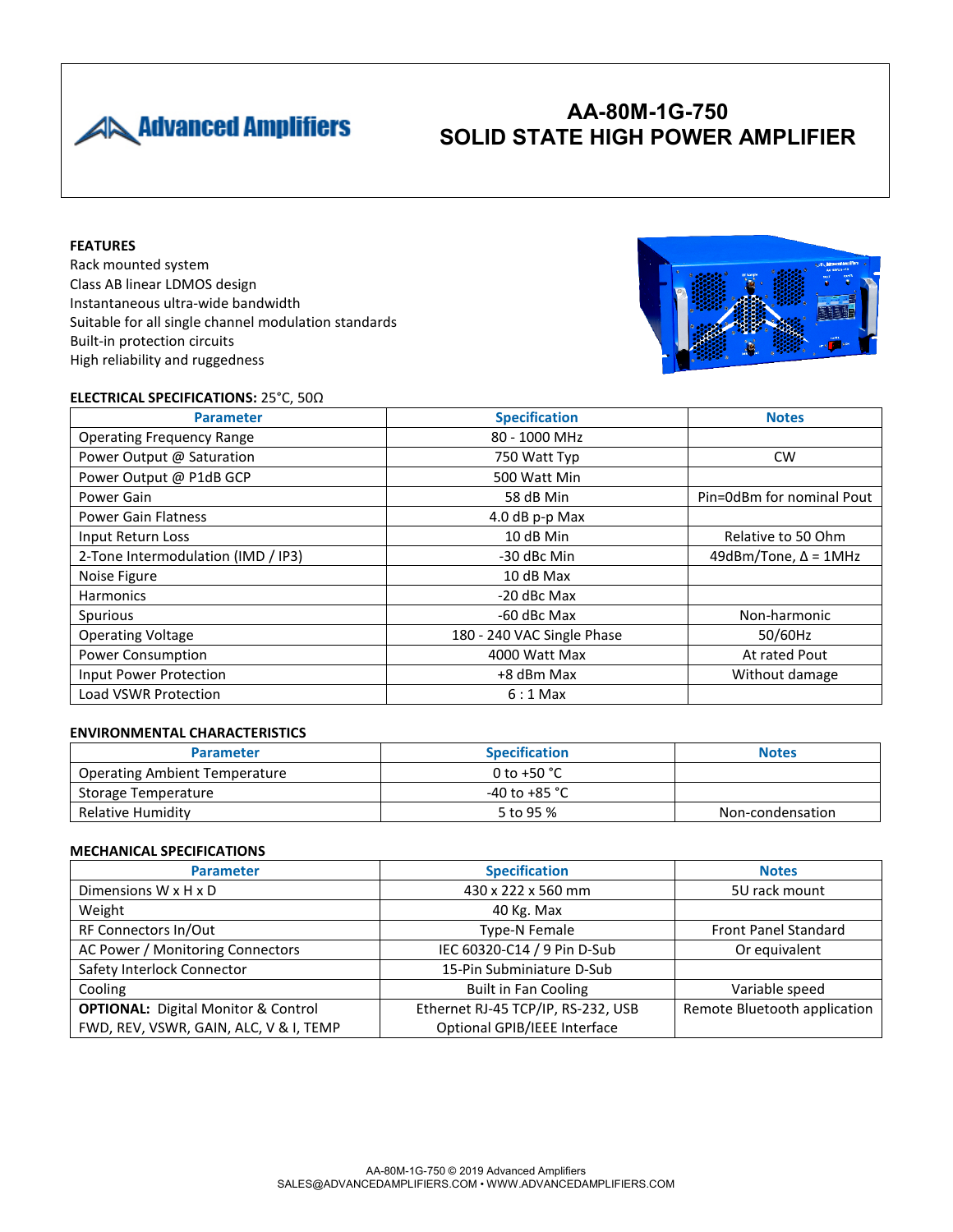

# **AA-80M-1G-750 SOLID STATE HIGH POWER AMPLIFIER**

### **FEATURES**

Rack mounted system Class AB linear LDMOS design Instantaneous ultra-wide bandwidth Suitable for all single channel modulation standards Built-in protection circuits High reliability and ruggedness



### **ELECTRICAL SPECIFICATIONS:** 25°C, 50Ω

| <b>Parameter</b>                   | <b>Specification</b>       | <b>Notes</b>                |
|------------------------------------|----------------------------|-----------------------------|
| <b>Operating Frequency Range</b>   | 80 - 1000 MHz              |                             |
| Power Output @ Saturation          | 750 Watt Typ               | <b>CW</b>                   |
| Power Output @ P1dB GCP            | 500 Watt Min               |                             |
| Power Gain                         | 58 dB Min                  | Pin=0dBm for nominal Pout   |
| <b>Power Gain Flatness</b>         | 4.0 dB p-p Max             |                             |
| Input Return Loss                  | 10 dB Min                  | Relative to 50 Ohm          |
| 2-Tone Intermodulation (IMD / IP3) | -30 dBc Min                | 49dBm/Tone, $\Delta$ = 1MHz |
| Noise Figure                       | 10 dB Max                  |                             |
| <b>Harmonics</b>                   | -20 dBc Max                |                             |
| Spurious                           | -60 dBc Max                | Non-harmonic                |
| <b>Operating Voltage</b>           | 180 - 240 VAC Single Phase | 50/60Hz                     |
| <b>Power Consumption</b>           | 4000 Watt Max              | At rated Pout               |
| Input Power Protection             | +8 dBm Max                 | Without damage              |
| <b>Load VSWR Protection</b>        | $6:1$ Max                  |                             |

### **ENVIRONMENTAL CHARACTERISTICS**

| <b>Parameter</b>                     | <b>Specification</b>  | <b>Notes</b>     |
|--------------------------------------|-----------------------|------------------|
| <b>Operating Ambient Temperature</b> | 0 to +50 $^{\circ}$ C |                  |
| Storage Temperature                  | -40 to +85 °C         |                  |
| Relative Humidity                    | 5 to 95 %             | Non-condensation |

#### **MECHANICAL SPECIFICATIONS**

| <b>Parameter</b>                           | <b>Specification</b>               | <b>Notes</b>                 |
|--------------------------------------------|------------------------------------|------------------------------|
| Dimensions $W \times H \times D$           | 430 x 222 x 560 mm                 | 5U rack mount                |
| Weight                                     | 40 Kg. Max                         |                              |
| RF Connectors In/Out                       | Type-N Female                      | <b>Front Panel Standard</b>  |
| AC Power / Monitoring Connectors           | IEC 60320-C14 / 9 Pin D-Sub        | Or equivalent                |
| Safety Interlock Connector                 | 15-Pin Subminiature D-Sub          |                              |
| Cooling                                    | <b>Built in Fan Cooling</b>        | Variable speed               |
| <b>OPTIONAL:</b> Digital Monitor & Control | Ethernet RJ-45 TCP/IP, RS-232, USB | Remote Bluetooth application |
| FWD, REV, VSWR, GAIN, ALC, V & I, TEMP     | Optional GPIB/IEEE Interface       |                              |